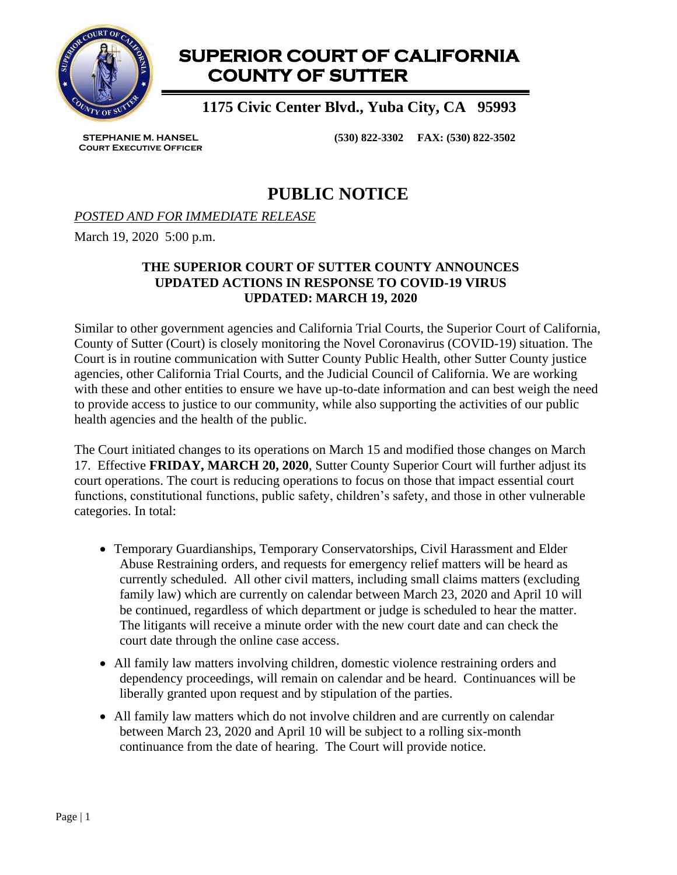

# **SUPERIOR COURT OF CALIFORNIA COUNTY OF SUTTER**

 **1175 Civic Center Blvd., Yuba City, CA 95993**

**STEPHANIE M. HANSEL Court Executive Officer** **(530) 822-3302 FAX: (530) 822-3502**

## **PUBLIC NOTICE**

### *POSTED AND FOR IMMEDIATE RELEASE*

March 19, 2020 5:00 p.m.

### **THE SUPERIOR COURT OF SUTTER COUNTY ANNOUNCES UPDATED ACTIONS IN RESPONSE TO COVID-19 VIRUS UPDATED: MARCH 19, 2020**

Similar to other government agencies and California Trial Courts, the Superior Court of California, County of Sutter (Court) is closely monitoring the Novel Coronavirus (COVID-19) situation. The Court is in routine communication with Sutter County Public Health, other Sutter County justice agencies, other California Trial Courts, and the Judicial Council of California. We are working with these and other entities to ensure we have up-to-date information and can best weigh the need to provide access to justice to our community, while also supporting the activities of our public health agencies and the health of the public.

The Court initiated changes to its operations on March 15 and modified those changes on March 17. Effective **FRIDAY, MARCH 20, 2020**, Sutter County Superior Court will further adjust its court operations. The court is reducing operations to focus on those that impact essential court functions, constitutional functions, public safety, children's safety, and those in other vulnerable categories. In total:

- Temporary Guardianships, Temporary Conservatorships, Civil Harassment and Elder Abuse Restraining orders, and requests for emergency relief matters will be heard as currently scheduled. All other civil matters, including small claims matters (excluding family law) which are currently on calendar between March 23, 2020 and April 10 will be continued, regardless of which department or judge is scheduled to hear the matter. The litigants will receive a minute order with the new court date and can check the court date through the online case access.
- All family law matters involving children, domestic violence restraining orders and dependency proceedings, will remain on calendar and be heard. Continuances will be liberally granted upon request and by stipulation of the parties.
- All family law matters which do not involve children and are currently on calendar between March 23, 2020 and April 10 will be subject to a rolling six-month continuance from the date of hearing. The Court will provide notice.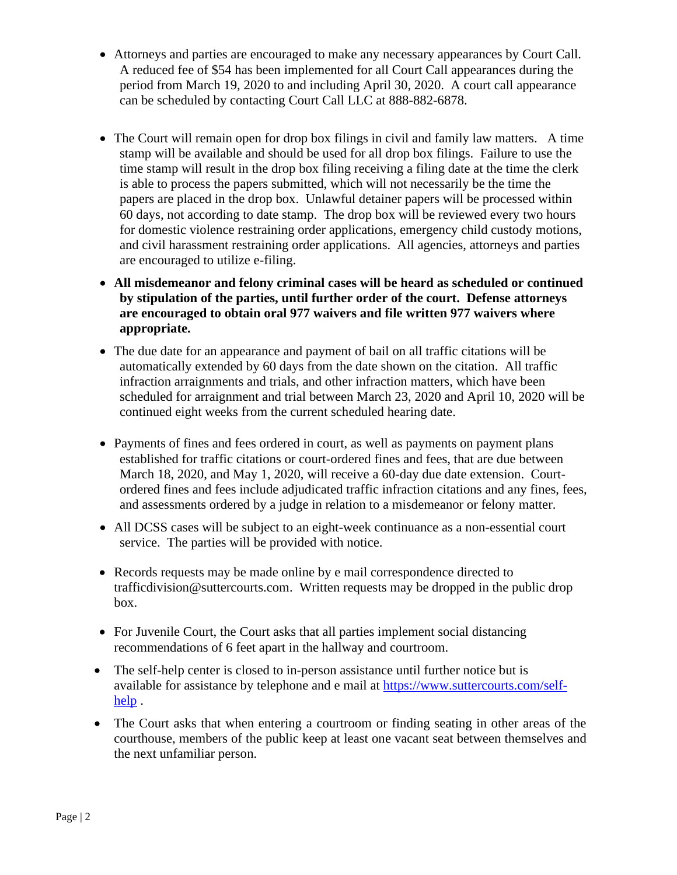- Attorneys and parties are encouraged to make any necessary appearances by Court Call. A reduced fee of \$54 has been implemented for all Court Call appearances during the period from March 19, 2020 to and including April 30, 2020. A court call appearance can be scheduled by contacting Court Call LLC at 888-882-6878.
- The Court will remain open for drop box filings in civil and family law matters. A time stamp will be available and should be used for all drop box filings. Failure to use the time stamp will result in the drop box filing receiving a filing date at the time the clerk is able to process the papers submitted, which will not necessarily be the time the papers are placed in the drop box. Unlawful detainer papers will be processed within 60 days, not according to date stamp. The drop box will be reviewed every two hours for domestic violence restraining order applications, emergency child custody motions, and civil harassment restraining order applications. All agencies, attorneys and parties are encouraged to utilize e-filing.
- **All misdemeanor and felony criminal cases will be heard as scheduled or continued by stipulation of the parties, until further order of the court. Defense attorneys are encouraged to obtain oral 977 waivers and file written 977 waivers where appropriate.**
- The due date for an appearance and payment of bail on all traffic citations will be automatically extended by 60 days from the date shown on the citation. All traffic infraction arraignments and trials, and other infraction matters, which have been scheduled for arraignment and trial between March 23, 2020 and April 10, 2020 will be continued eight weeks from the current scheduled hearing date.
- Payments of fines and fees ordered in court, as well as payments on payment plans established for traffic citations or court-ordered fines and fees, that are due between March 18, 2020, and May 1, 2020, will receive a 60-day due date extension. Courtordered fines and fees include adjudicated traffic infraction citations and any fines, fees, and assessments ordered by a judge in relation to a misdemeanor or felony matter.
- All DCSS cases will be subject to an eight-week continuance as a non-essential court service. The parties will be provided with notice.
- Records requests may be made online by e mail correspondence directed to trafficdivision@suttercourts.com. Written requests may be dropped in the public drop box.
- For Juvenile Court, the Court asks that all parties implement social distancing recommendations of 6 feet apart in the hallway and courtroom.
- The self-help center is closed to in-person assistance until further notice but is available for assistance by telephone and e mail at [https://www.suttercourts.com/self](https://www.suttercourts.com/self-help)[help](https://www.suttercourts.com/self-help).
- The Court asks that when entering a courtroom or finding seating in other areas of the courthouse, members of the public keep at least one vacant seat between themselves and the next unfamiliar person.